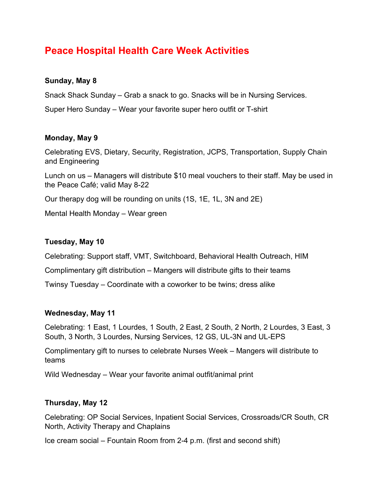# **Peace Hospital Health Care Week Activities**

#### **Sunday, May 8**

Snack Shack Sunday – Grab a snack to go. Snacks will be in Nursing Services.

Super Hero Sunday – Wear your favorite super hero outfit or T-shirt

#### **Monday, May 9**

Celebrating EVS, Dietary, Security, Registration, JCPS, Transportation, Supply Chain and Engineering

Lunch on us – Managers will distribute \$10 meal vouchers to their staff. May be used in the Peace Café; valid May 8-22

Our therapy dog will be rounding on units (1S, 1E, 1L, 3N and 2E)

Mental Health Monday – Wear green

#### **Tuesday, May 10**

Celebrating: Support staff, VMT, Switchboard, Behavioral Health Outreach, HIM

Complimentary gift distribution – Mangers will distribute gifts to their teams

Twinsy Tuesday – Coordinate with a coworker to be twins; dress alike

#### **Wednesday, May 11**

Celebrating: 1 East, 1 Lourdes, 1 South, 2 East, 2 South, 2 North, 2 Lourdes, 3 East, 3 South, 3 North, 3 Lourdes, Nursing Services, 12 GS, UL-3N and UL-EPS

Complimentary gift to nurses to celebrate Nurses Week – Mangers will distribute to teams

Wild Wednesday – Wear your favorite animal outfit/animal print

#### **Thursday, May 12**

Celebrating: OP Social Services, Inpatient Social Services, Crossroads/CR South, CR North, Activity Therapy and Chaplains

Ice cream social – Fountain Room from 2-4 p.m. (first and second shift)